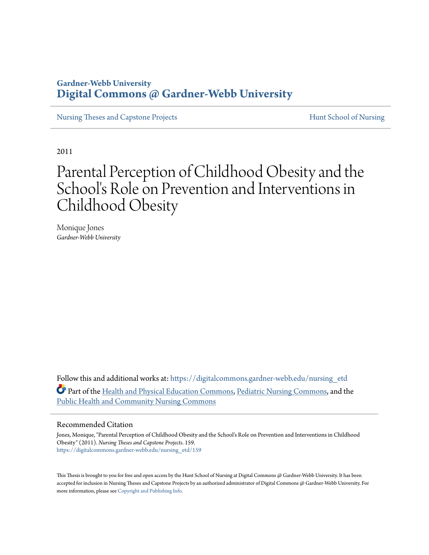## **Gardner-Webb University [Digital Commons @ Gardner-Webb University](https://digitalcommons.gardner-webb.edu?utm_source=digitalcommons.gardner-webb.edu%2Fnursing_etd%2F159&utm_medium=PDF&utm_campaign=PDFCoverPages)**

[Nursing Theses and Capstone Projects](https://digitalcommons.gardner-webb.edu/nursing_etd?utm_source=digitalcommons.gardner-webb.edu%2Fnursing_etd%2F159&utm_medium=PDF&utm_campaign=PDFCoverPages) **[Hunt School of Nursing](https://digitalcommons.gardner-webb.edu/nursing?utm_source=digitalcommons.gardner-webb.edu%2Fnursing_etd%2F159&utm_medium=PDF&utm_campaign=PDFCoverPages)** 

2011

# Parental Perception of Childhood Obesity and the School's Role on Prevention and Interventions in Childhood Obesity

Monique Jones *Gardner-Webb University*

Follow this and additional works at: [https://digitalcommons.gardner-webb.edu/nursing\\_etd](https://digitalcommons.gardner-webb.edu/nursing_etd?utm_source=digitalcommons.gardner-webb.edu%2Fnursing_etd%2F159&utm_medium=PDF&utm_campaign=PDFCoverPages) Part of the [Health and Physical Education Commons](http://network.bepress.com/hgg/discipline/1327?utm_source=digitalcommons.gardner-webb.edu%2Fnursing_etd%2F159&utm_medium=PDF&utm_campaign=PDFCoverPages), [Pediatric Nursing Commons,](http://network.bepress.com/hgg/discipline/723?utm_source=digitalcommons.gardner-webb.edu%2Fnursing_etd%2F159&utm_medium=PDF&utm_campaign=PDFCoverPages) and the [Public Health and Community Nursing Commons](http://network.bepress.com/hgg/discipline/725?utm_source=digitalcommons.gardner-webb.edu%2Fnursing_etd%2F159&utm_medium=PDF&utm_campaign=PDFCoverPages)

#### Recommended Citation

Jones, Monique, "Parental Perception of Childhood Obesity and the School's Role on Prevention and Interventions in Childhood Obesity" (2011). *Nursing Theses and Capstone Projects*. 159. [https://digitalcommons.gardner-webb.edu/nursing\\_etd/159](https://digitalcommons.gardner-webb.edu/nursing_etd/159?utm_source=digitalcommons.gardner-webb.edu%2Fnursing_etd%2F159&utm_medium=PDF&utm_campaign=PDFCoverPages)

This Thesis is brought to you for free and open access by the Hunt School of Nursing at Digital Commons @ Gardner-Webb University. It has been accepted for inclusion in Nursing Theses and Capstone Projects by an authorized administrator of Digital Commons @ Gardner-Webb University. For more information, please see [Copyright and Publishing Info](https://digitalcommons.gardner-webb.edu/copyright_publishing.html).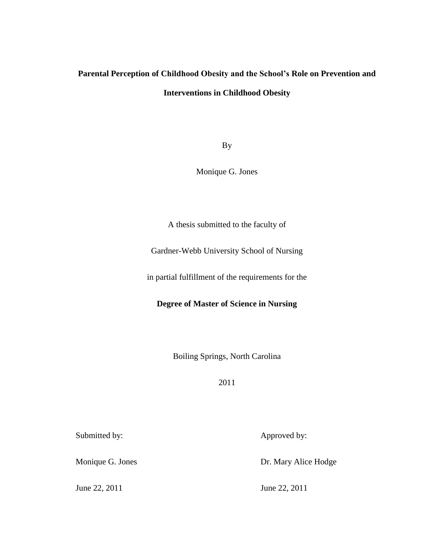# **Parental Perception of Childhood Obesity and the School's Role on Prevention and Interventions in Childhood Obesity**

By

Monique G. Jones

A thesis submitted to the faculty of

Gardner-Webb University School of Nursing

in partial fulfillment of the requirements for the

**Degree of Master of Science in Nursing**

Boiling Springs, North Carolina

2011

Submitted by: Approved by:

Monique G. Jones Dr. Mary Alice Hodge

June 22, 2011 June 22, 2011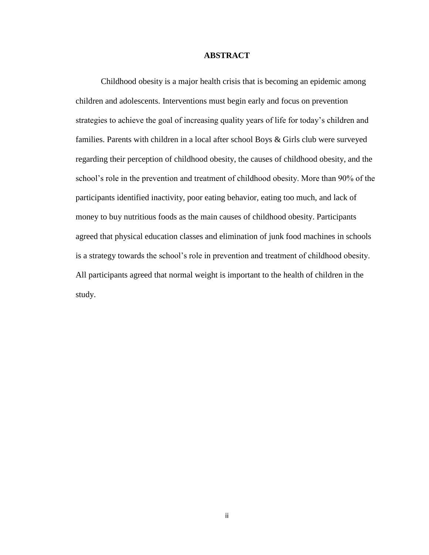#### **ABSTRACT**

Childhood obesity is a major health crisis that is becoming an epidemic among children and adolescents. Interventions must begin early and focus on prevention strategies to achieve the goal of increasing quality years of life for today's children and families. Parents with children in a local after school Boys & Girls club were surveyed regarding their perception of childhood obesity, the causes of childhood obesity, and the school's role in the prevention and treatment of childhood obesity. More than 90% of the participants identified inactivity, poor eating behavior, eating too much, and lack of money to buy nutritious foods as the main causes of childhood obesity. Participants agreed that physical education classes and elimination of junk food machines in schools is a strategy towards the school's role in prevention and treatment of childhood obesity. All participants agreed that normal weight is important to the health of children in the study.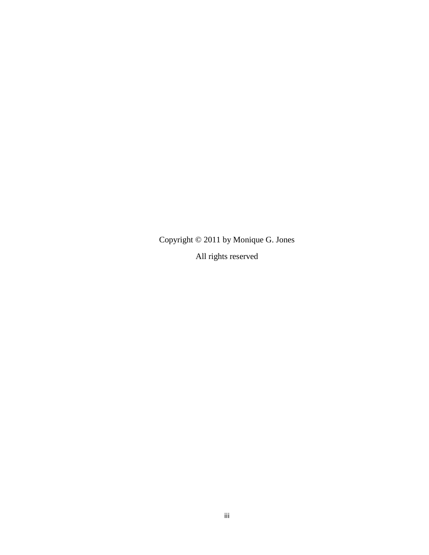Copyright © 2011 by Monique G. Jones All rights reserved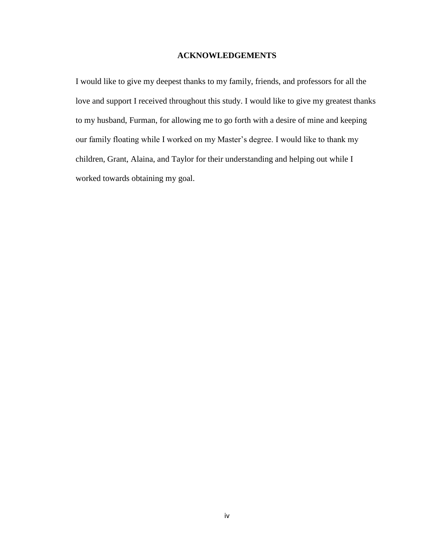## **ACKNOWLEDGEMENTS**

I would like to give my deepest thanks to my family, friends, and professors for all the love and support I received throughout this study. I would like to give my greatest thanks to my husband, Furman, for allowing me to go forth with a desire of mine and keeping our family floating while I worked on my Master's degree. I would like to thank my children, Grant, Alaina, and Taylor for their understanding and helping out while I worked towards obtaining my goal.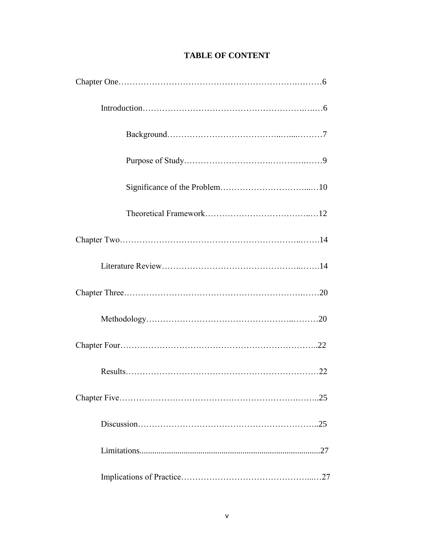| .25 |
|-----|
| .25 |
|     |
|     |

# **TABLE OF CONTENT**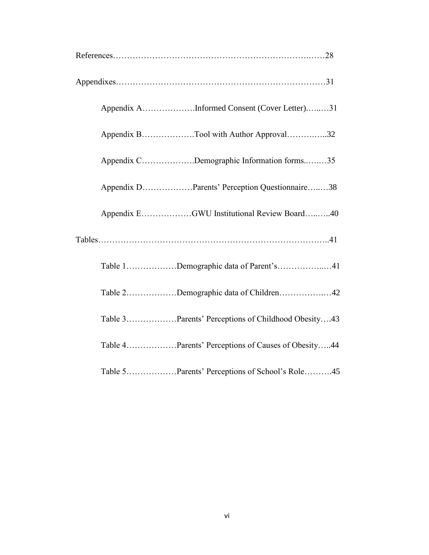|  | Appendix AInformed Consent (Cover Letter)31        |
|--|----------------------------------------------------|
|  | Appendix BTool with Author Approval32              |
|  | Appendix CDemographic Information forms35          |
|  | Appendix DParents' Perception Questionnaire38      |
|  | Appendix EGWU Institutional Review Board40         |
|  |                                                    |
|  | Table 1Demographic data of Parent's41              |
|  | Table 2Demographic data of Children42              |
|  | Table 3Parents' Perceptions of Childhood Obesity43 |
|  | Table 4Parents' Perceptions of Causes of Obesity44 |
|  | Table 5Parents' Perceptions of School's Role45     |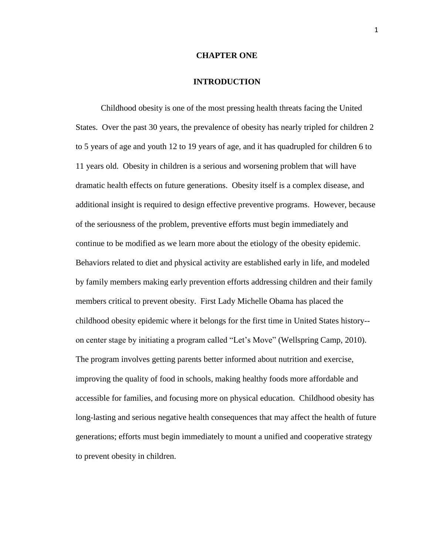#### **CHAPTER ONE**

#### **INTRODUCTION**

Childhood obesity is one of the most pressing health threats facing the United States. Over the past 30 years, the prevalence of obesity has nearly tripled for children 2 to 5 years of age and youth 12 to 19 years of age, and it has quadrupled for children 6 to 11 years old. Obesity in children is a serious and worsening problem that will have dramatic health effects on future generations. Obesity itself is a complex disease, and additional insight is required to design effective preventive programs. However, because of the seriousness of the problem, preventive efforts must begin immediately and continue to be modified as we learn more about the etiology of the obesity epidemic. Behaviors related to diet and physical activity are established early in life, and modeled by family members making early prevention efforts addressing children and their family members critical to prevent obesity. First Lady Michelle Obama has placed the childhood obesity epidemic where it belongs for the first time in United States history- on center stage by initiating a program called "Let's Move" (Wellspring Camp, 2010). The program involves getting parents better informed about nutrition and exercise, improving the quality of food in schools, making healthy foods more affordable and accessible for families, and focusing more on physical education. Childhood obesity has long-lasting and serious negative health consequences that may affect the health of future generations; efforts must begin immediately to mount a unified and cooperative strategy to prevent obesity in children.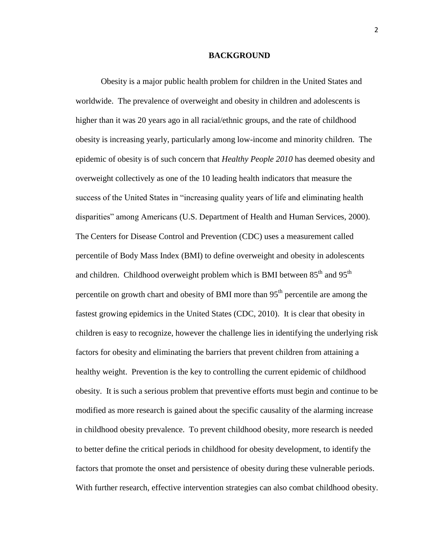#### **BACKGROUND**

Obesity is a major public health problem for children in the United States and worldwide. The prevalence of overweight and obesity in children and adolescents is higher than it was 20 years ago in all racial/ethnic groups, and the rate of childhood obesity is increasing yearly, particularly among low-income and minority children. The epidemic of obesity is of such concern that *Healthy People 2010* has deemed obesity and overweight collectively as one of the 10 leading health indicators that measure the success of the United States in "increasing quality years of life and eliminating health disparities" among Americans (U.S. Department of Health and Human Services, 2000). The Centers for Disease Control and Prevention (CDC) uses a measurement called percentile of Body Mass Index (BMI) to define overweight and obesity in adolescents and children. Childhood overweight problem which is BMI between  $85<sup>th</sup>$  and  $95<sup>th</sup>$ percentile on growth chart and obesity of BMI more than  $95<sup>th</sup>$  percentile are among the fastest growing epidemics in the United States (CDC, 2010). It is clear that obesity in children is easy to recognize, however the challenge lies in identifying the underlying risk factors for obesity and eliminating the barriers that prevent children from attaining a healthy weight. Prevention is the key to controlling the current epidemic of childhood obesity. It is such a serious problem that preventive efforts must begin and continue to be modified as more research is gained about the specific causality of the alarming increase in childhood obesity prevalence. To prevent childhood obesity, more research is needed to better define the critical periods in childhood for obesity development, to identify the factors that promote the onset and persistence of obesity during these vulnerable periods. With further research, effective intervention strategies can also combat childhood obesity.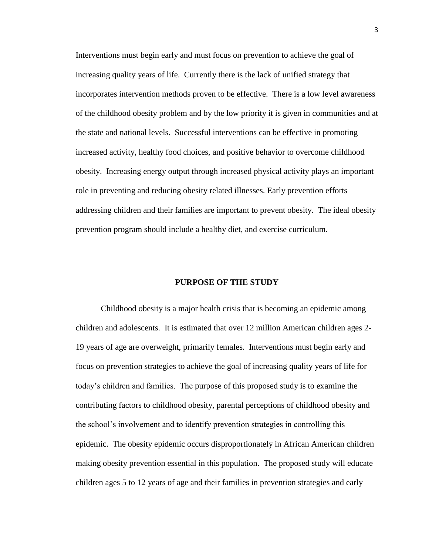Interventions must begin early and must focus on prevention to achieve the goal of increasing quality years of life. Currently there is the lack of unified strategy that incorporates intervention methods proven to be effective. There is a low level awareness of the childhood obesity problem and by the low priority it is given in communities and at the state and national levels. Successful interventions can be effective in promoting increased activity, healthy food choices, and positive behavior to overcome childhood obesity. Increasing energy output through increased physical activity plays an important role in preventing and reducing obesity related illnesses. Early prevention efforts addressing children and their families are important to prevent obesity. The ideal obesity prevention program should include a healthy diet, and exercise curriculum.

### **PURPOSE OF THE STUDY**

Childhood obesity is a major health crisis that is becoming an epidemic among children and adolescents. It is estimated that over 12 million American children ages 2- 19 years of age are overweight, primarily females. Interventions must begin early and focus on prevention strategies to achieve the goal of increasing quality years of life for today's children and families. The purpose of this proposed study is to examine the contributing factors to childhood obesity, parental perceptions of childhood obesity and the school's involvement and to identify prevention strategies in controlling this epidemic. The obesity epidemic occurs disproportionately in African American children making obesity prevention essential in this population. The proposed study will educate children ages 5 to 12 years of age and their families in prevention strategies and early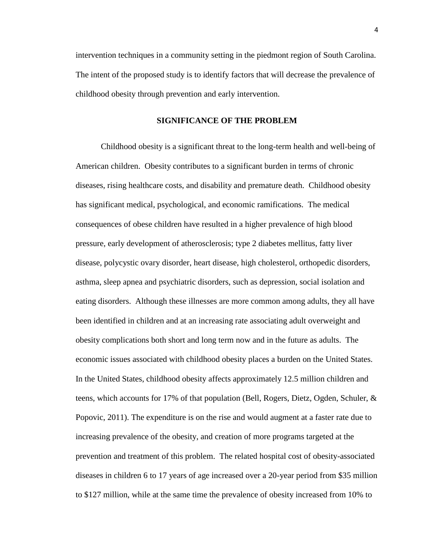intervention techniques in a community setting in the piedmont region of South Carolina. The intent of the proposed study is to identify factors that will decrease the prevalence of childhood obesity through prevention and early intervention.

#### **SIGNIFICANCE OF THE PROBLEM**

Childhood obesity is a significant threat to the long-term health and well-being of American children. Obesity contributes to a significant burden in terms of chronic diseases, rising healthcare costs, and disability and premature death. Childhood obesity has significant medical, psychological, and economic ramifications. The medical consequences of obese children have resulted in a higher prevalence of high blood pressure, early development of atherosclerosis; type 2 diabetes mellitus, fatty liver disease, polycystic ovary disorder, heart disease, high cholesterol, orthopedic disorders, asthma, sleep apnea and psychiatric disorders, such as depression, social isolation and eating disorders. Although these illnesses are more common among adults, they all have been identified in children and at an increasing rate associating adult overweight and obesity complications both short and long term now and in the future as adults. The economic issues associated with childhood obesity places a burden on the United States. In the United States, childhood obesity affects approximately 12.5 million children and teens, which accounts for 17% of that population (Bell, Rogers, Dietz, Ogden, Schuler, & Popovic, 2011). The expenditure is on the rise and would augment at a faster rate due to increasing prevalence of the obesity, and creation of more programs targeted at the prevention and treatment of this problem. The related hospital cost of obesity-associated diseases in children 6 to 17 years of age increased over a 20-year period from \$35 million to \$127 million, while at the same time the prevalence of obesity increased from 10% to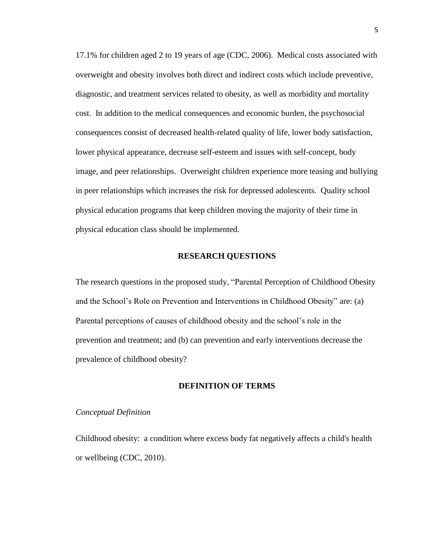17.1% for children aged 2 to 19 years of age (CDC, 2006). Medical costs associated with overweight and obesity involves both direct and indirect costs which include preventive, diagnostic, and treatment services related to obesity, as well as morbidity and mortality cost. In addition to the medical consequences and economic burden, the psychosocial consequences consist of decreased health-related quality of life, lower body satisfaction, lower physical appearance, decrease self-esteem and issues with self-concept, body image, and peer relationships. Overweight children experience more teasing and bullying in peer relationships which increases the risk for depressed adolescents. Quality school physical education programs that keep children moving the majority of their time in physical education class should be implemented.

#### **RESEARCH QUESTIONS**

The research questions in the proposed study, "Parental Perception of Childhood Obesity and the School's Role on Prevention and Interventions in Childhood Obesity" are: (a) Parental perceptions of causes of childhood obesity and the school's role in the prevention and treatment; and (b) can prevention and early interventions decrease the prevalence of childhood obesity?

#### **DEFINITION OF TERMS**

#### *Conceptual Definition*

Childhood obesity: a condition where excess body fat negatively affects a child's health or wellbeing (CDC, 2010).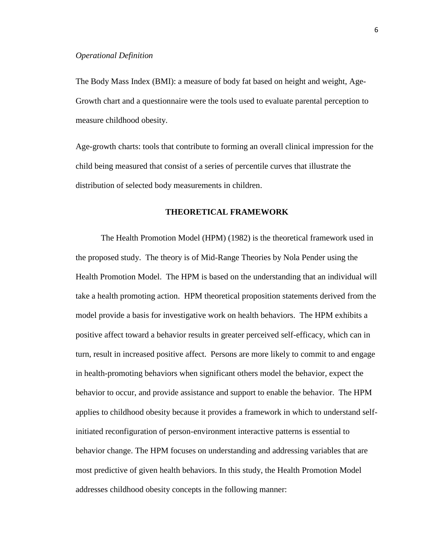The Body Mass Index (BMI): a measure of body fat based on height and weight, Age-Growth chart and a questionnaire were the tools used to evaluate parental perception to measure childhood obesity.

Age-growth charts: tools that contribute to forming an overall clinical impression for the child being measured that consist of a series of percentile curves that illustrate the distribution of selected body measurements in children.

### **THEORETICAL FRAMEWORK**

The Health Promotion Model (HPM) (1982) is the theoretical framework used in the proposed study. The theory is of Mid-Range Theories by Nola Pender using the Health Promotion Model. The HPM is based on the understanding that an individual will take a health promoting action. HPM theoretical proposition statements derived from the model provide a basis for investigative work on health behaviors. The HPM exhibits a positive affect toward a behavior results in greater perceived self-efficacy, which can in turn, result in increased positive affect. Persons are more likely to commit to and engage in health-promoting behaviors when significant others model the behavior, expect the behavior to occur, and provide assistance and support to enable the behavior. The HPM applies to childhood obesity because it provides a framework in which to understand selfinitiated reconfiguration of person-environment interactive patterns is essential to behavior change. The HPM focuses on understanding and addressing variables that are most predictive of given health behaviors. In this study, the Health Promotion Model addresses childhood obesity concepts in the following manner: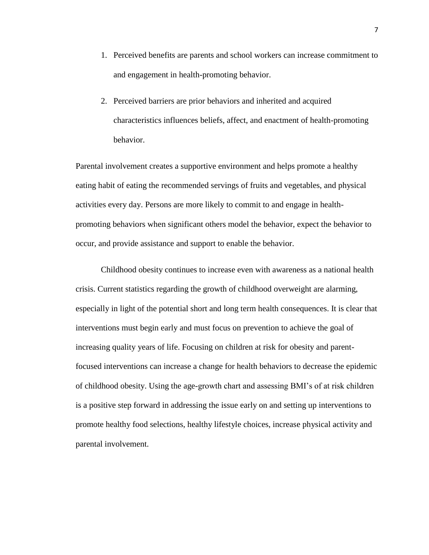- 1. Perceived benefits are parents and school workers can increase commitment to and engagement in health-promoting behavior.
- 2. Perceived barriers are prior behaviors and inherited and acquired characteristics influences beliefs, affect, and enactment of health-promoting behavior.

Parental involvement creates a supportive environment and helps promote a healthy eating habit of eating the recommended servings of fruits and vegetables, and physical activities every day. Persons are more likely to commit to and engage in healthpromoting behaviors when significant others model the behavior, expect the behavior to occur, and provide assistance and support to enable the behavior.

Childhood obesity continues to increase even with awareness as a national health crisis. Current statistics regarding the growth of childhood overweight are alarming, especially in light of the potential short and long term health consequences. It is clear that interventions must begin early and must focus on prevention to achieve the goal of increasing quality years of life. Focusing on children at risk for obesity and parentfocused interventions can increase a change for health behaviors to decrease the epidemic of childhood obesity. Using the age-growth chart and assessing BMI's of at risk children is a positive step forward in addressing the issue early on and setting up interventions to promote healthy food selections, healthy lifestyle choices, increase physical activity and parental involvement.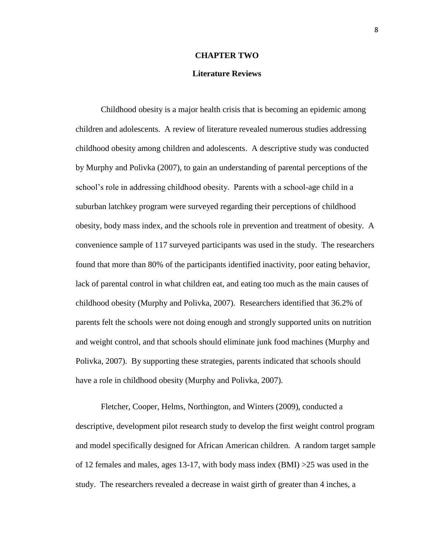#### **CHAPTER TWO**

#### **Literature Reviews**

 Childhood obesity is a major health crisis that is becoming an epidemic among children and adolescents. A review of literature revealed numerous studies addressing childhood obesity among children and adolescents. A descriptive study was conducted by Murphy and Polivka (2007), to gain an understanding of parental perceptions of the school's role in addressing childhood obesity. Parents with a school-age child in a suburban latchkey program were surveyed regarding their perceptions of childhood obesity, body mass index, and the schools role in prevention and treatment of obesity. A convenience sample of 117 surveyed participants was used in the study. The researchers found that more than 80% of the participants identified inactivity, poor eating behavior, lack of parental control in what children eat, and eating too much as the main causes of childhood obesity (Murphy and Polivka, 2007). Researchers identified that 36.2% of parents felt the schools were not doing enough and strongly supported units on nutrition and weight control, and that schools should eliminate junk food machines (Murphy and Polivka, 2007). By supporting these strategies, parents indicated that schools should have a role in childhood obesity (Murphy and Polivka, 2007).

 Fletcher, Cooper, Helms, Northington, and Winters (2009), conducted a descriptive, development pilot research study to develop the first weight control program and model specifically designed for African American children. A random target sample of 12 females and males, ages 13-17, with body mass index (BMI) >25 was used in the study. The researchers revealed a decrease in waist girth of greater than 4 inches, a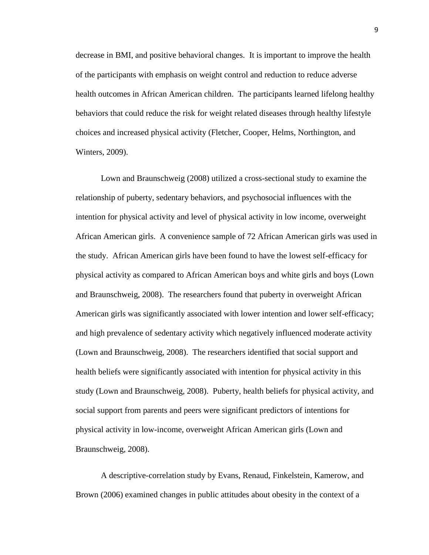decrease in BMI, and positive behavioral changes. It is important to improve the health of the participants with emphasis on weight control and reduction to reduce adverse health outcomes in African American children. The participants learned lifelong healthy behaviors that could reduce the risk for weight related diseases through healthy lifestyle choices and increased physical activity (Fletcher, Cooper, Helms, Northington, and Winters, 2009).

Lown and Braunschweig (2008) utilized a cross-sectional study to examine the relationship of puberty, sedentary behaviors, and psychosocial influences with the intention for physical activity and level of physical activity in low income, overweight African American girls. A convenience sample of 72 African American girls was used in the study. African American girls have been found to have the lowest self-efficacy for physical activity as compared to African American boys and white girls and boys (Lown and Braunschweig, 2008). The researchers found that puberty in overweight African American girls was significantly associated with lower intention and lower self-efficacy; and high prevalence of sedentary activity which negatively influenced moderate activity (Lown and Braunschweig, 2008). The researchers identified that social support and health beliefs were significantly associated with intention for physical activity in this study (Lown and Braunschweig, 2008). Puberty, health beliefs for physical activity, and social support from parents and peers were significant predictors of intentions for physical activity in low-income, overweight African American girls (Lown and Braunschweig, 2008).

A descriptive-correlation study by Evans, Renaud, Finkelstein, Kamerow, and Brown (2006) examined changes in public attitudes about obesity in the context of a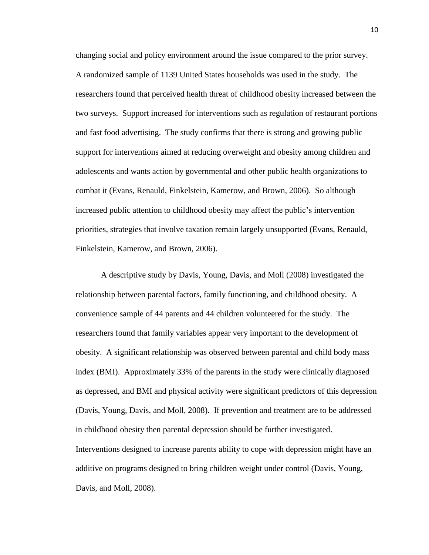changing social and policy environment around the issue compared to the prior survey. A randomized sample of 1139 United States households was used in the study. The researchers found that perceived health threat of childhood obesity increased between the two surveys. Support increased for interventions such as regulation of restaurant portions and fast food advertising. The study confirms that there is strong and growing public support for interventions aimed at reducing overweight and obesity among children and adolescents and wants action by governmental and other public health organizations to combat it (Evans, Renauld, Finkelstein, Kamerow, and Brown, 2006). So although increased public attention to childhood obesity may affect the public's intervention priorities, strategies that involve taxation remain largely unsupported (Evans, Renauld, Finkelstein, Kamerow, and Brown, 2006).

A descriptive study by Davis, Young, Davis, and Moll (2008) investigated the relationship between parental factors, family functioning, and childhood obesity. A convenience sample of 44 parents and 44 children volunteered for the study. The researchers found that family variables appear very important to the development of obesity. A significant relationship was observed between parental and child body mass index (BMI). Approximately 33% of the parents in the study were clinically diagnosed as depressed, and BMI and physical activity were significant predictors of this depression (Davis, Young, Davis, and Moll, 2008). If prevention and treatment are to be addressed in childhood obesity then parental depression should be further investigated. Interventions designed to increase parents ability to cope with depression might have an additive on programs designed to bring children weight under control (Davis, Young, Davis, and Moll, 2008).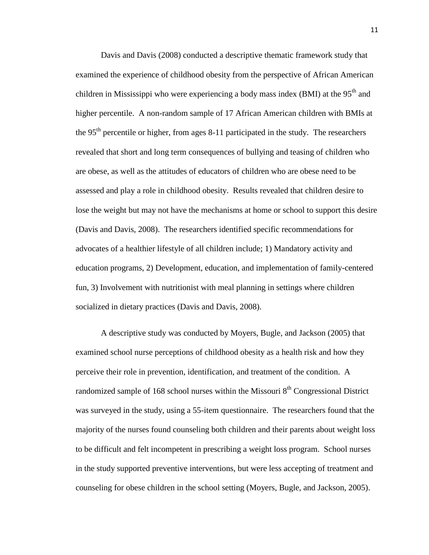Davis and Davis (2008) conducted a descriptive thematic framework study that examined the experience of childhood obesity from the perspective of African American children in Mississippi who were experiencing a body mass index (BMI) at the  $95<sup>th</sup>$  and higher percentile. A non-random sample of 17 African American children with BMIs at the  $95<sup>th</sup>$  percentile or higher, from ages 8-11 participated in the study. The researchers revealed that short and long term consequences of bullying and teasing of children who are obese, as well as the attitudes of educators of children who are obese need to be assessed and play a role in childhood obesity. Results revealed that children desire to lose the weight but may not have the mechanisms at home or school to support this desire (Davis and Davis, 2008). The researchers identified specific recommendations for advocates of a healthier lifestyle of all children include; 1) Mandatory activity and education programs, 2) Development, education, and implementation of family-centered fun, 3) Involvement with nutritionist with meal planning in settings where children socialized in dietary practices (Davis and Davis, 2008).

A descriptive study was conducted by Moyers, Bugle, and Jackson (2005) that examined school nurse perceptions of childhood obesity as a health risk and how they perceive their role in prevention, identification, and treatment of the condition. A randomized sample of 168 school nurses within the Missouri  $8<sup>th</sup>$  Congressional District was surveyed in the study, using a 55-item questionnaire. The researchers found that the majority of the nurses found counseling both children and their parents about weight loss to be difficult and felt incompetent in prescribing a weight loss program. School nurses in the study supported preventive interventions, but were less accepting of treatment and counseling for obese children in the school setting (Moyers, Bugle, and Jackson, 2005).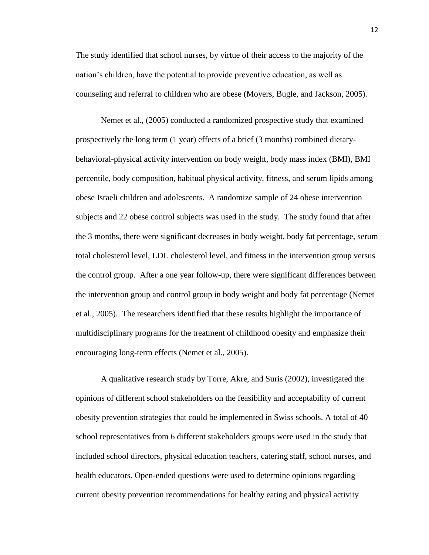The study identified that school nurses, by virtue of their access to the majority of the nation's children, have the potential to provide preventive education, as well as counseling and referral to children who are obese (Moyers, Bugle, and Jackson, 2005).

Nemet et al., (2005) conducted a randomized prospective study that examined prospectively the long term (1 year) effects of a brief (3 months) combined dietarybehavioral-physical activity intervention on body weight, body mass index (BMI), BMI percentile, body composition, habitual physical activity, fitness, and serum lipids among obese Israeli children and adolescents. A randomize sample of 24 obese intervention subjects and 22 obese control subjects was used in the study. The study found that after the 3 months, there were significant decreases in body weight, body fat percentage, serum total cholesterol level, LDL cholesterol level, and fitness in the intervention group versus the control group. After a one year follow-up, there were significant differences between the intervention group and control group in body weight and body fat percentage (Nemet et al., 2005). The researchers identified that these results highlight the importance of multidisciplinary programs for the treatment of childhood obesity and emphasize their encouraging long-term effects (Nemet et al., 2005).

A qualitative research study by Torre, Akre, and Suris (2002), investigated the opinions of different school stakeholders on the feasibility and acceptability of current obesity prevention strategies that could be implemented in Swiss schools. A total of 40 school representatives from 6 different stakeholders groups were used in the study that included school directors, physical education teachers, catering staff, school nurses, and health educators. Open-ended questions were used to determine opinions regarding current obesity prevention recommendations for healthy eating and physical activity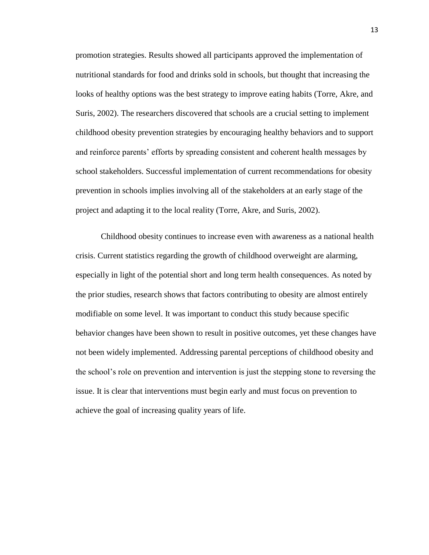promotion strategies. Results showed all participants approved the implementation of nutritional standards for food and drinks sold in schools, but thought that increasing the looks of healthy options was the best strategy to improve eating habits (Torre, Akre, and Suris, 2002). The researchers discovered that schools are a crucial setting to implement childhood obesity prevention strategies by encouraging healthy behaviors and to support and reinforce parents' efforts by spreading consistent and coherent health messages by school stakeholders. Successful implementation of current recommendations for obesity prevention in schools implies involving all of the stakeholders at an early stage of the project and adapting it to the local reality (Torre, Akre, and Suris, 2002).

Childhood obesity continues to increase even with awareness as a national health crisis. Current statistics regarding the growth of childhood overweight are alarming, especially in light of the potential short and long term health consequences. As noted by the prior studies, research shows that factors contributing to obesity are almost entirely modifiable on some level. It was important to conduct this study because specific behavior changes have been shown to result in positive outcomes, yet these changes have not been widely implemented. Addressing parental perceptions of childhood obesity and the school's role on prevention and intervention is just the stepping stone to reversing the issue. It is clear that interventions must begin early and must focus on prevention to achieve the goal of increasing quality years of life.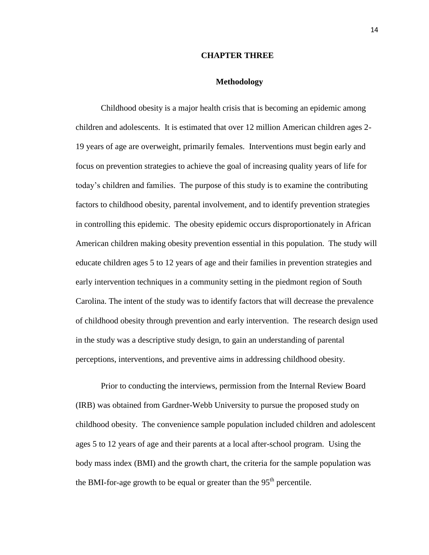#### **CHAPTER THREE**

#### **Methodology**

Childhood obesity is a major health crisis that is becoming an epidemic among children and adolescents. It is estimated that over 12 million American children ages 2- 19 years of age are overweight, primarily females. Interventions must begin early and focus on prevention strategies to achieve the goal of increasing quality years of life for today's children and families. The purpose of this study is to examine the contributing factors to childhood obesity, parental involvement, and to identify prevention strategies in controlling this epidemic. The obesity epidemic occurs disproportionately in African American children making obesity prevention essential in this population. The study will educate children ages 5 to 12 years of age and their families in prevention strategies and early intervention techniques in a community setting in the piedmont region of South Carolina. The intent of the study was to identify factors that will decrease the prevalence of childhood obesity through prevention and early intervention. The research design used in the study was a descriptive study design, to gain an understanding of parental perceptions, interventions, and preventive aims in addressing childhood obesity.

Prior to conducting the interviews, permission from the Internal Review Board (IRB) was obtained from Gardner-Webb University to pursue the proposed study on childhood obesity. The convenience sample population included children and adolescent ages 5 to 12 years of age and their parents at a local after-school program. Using the body mass index (BMI) and the growth chart, the criteria for the sample population was the BMI-for-age growth to be equal or greater than the  $95<sup>th</sup>$  percentile.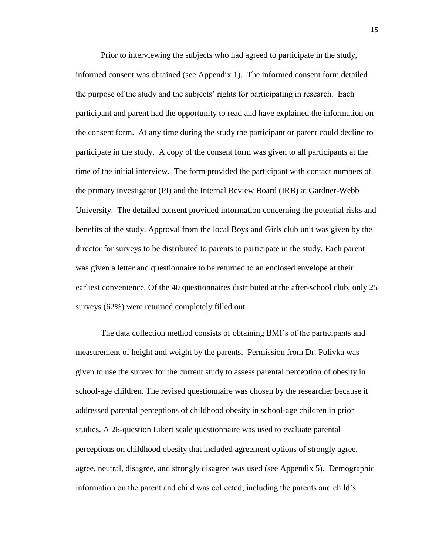Prior to interviewing the subjects who had agreed to participate in the study, informed consent was obtained (see Appendix 1). The informed consent form detailed the purpose of the study and the subjects' rights for participating in research. Each participant and parent had the opportunity to read and have explained the information on the consent form. At any time during the study the participant or parent could decline to participate in the study. A copy of the consent form was given to all participants at the time of the initial interview. The form provided the participant with contact numbers of the primary investigator (PI) and the Internal Review Board (IRB) at Gardner-Webb University. The detailed consent provided information concerning the potential risks and benefits of the study. Approval from the local Boys and Girls club unit was given by the director for surveys to be distributed to parents to participate in the study. Each parent was given a letter and questionnaire to be returned to an enclosed envelope at their earliest convenience. Of the 40 questionnaires distributed at the after-school club, only 25 surveys (62%) were returned completely filled out.

The data collection method consists of obtaining BMI's of the participants and measurement of height and weight by the parents. Permission from Dr. Polivka was given to use the survey for the current study to assess parental perception of obesity in school-age children. The revised questionnaire was chosen by the researcher because it addressed parental perceptions of childhood obesity in school-age children in prior studies. A 26-question Likert scale questionnaire was used to evaluate parental perceptions on childhood obesity that included agreement options of strongly agree, agree, neutral, disagree, and strongly disagree was used (see Appendix 5). Demographic information on the parent and child was collected, including the parents and child's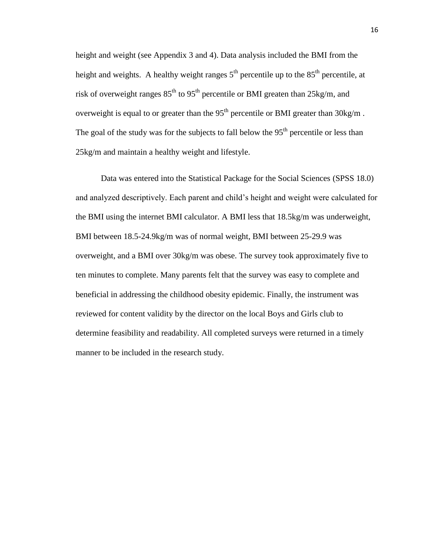height and weight (see Appendix 3 and 4). Data analysis included the BMI from the height and weights. A healthy weight ranges  $5<sup>th</sup>$  percentile up to the  $85<sup>th</sup>$  percentile, at risk of overweight ranges  $85<sup>th</sup>$  to  $95<sup>th</sup>$  percentile or BMI greaten than  $25kg/m$ , and overweight is equal to or greater than the  $95<sup>th</sup>$  percentile or BMI greater than  $30\text{kg/m}$ . The goal of the study was for the subjects to fall below the  $95<sup>th</sup>$  percentile or less than 25kg/m and maintain a healthy weight and lifestyle.

Data was entered into the Statistical Package for the Social Sciences (SPSS 18.0) and analyzed descriptively. Each parent and child's height and weight were calculated for the BMI using the internet BMI calculator. A BMI less that 18.5kg/m was underweight, BMI between 18.5-24.9kg/m was of normal weight, BMI between 25-29.9 was overweight, and a BMI over 30kg/m was obese. The survey took approximately five to ten minutes to complete. Many parents felt that the survey was easy to complete and beneficial in addressing the childhood obesity epidemic. Finally, the instrument was reviewed for content validity by the director on the local Boys and Girls club to determine feasibility and readability. All completed surveys were returned in a timely manner to be included in the research study.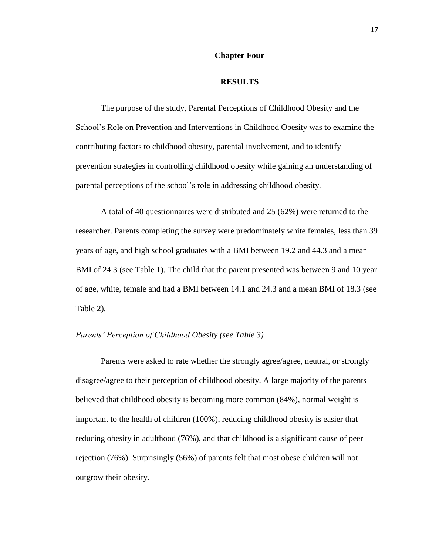#### **Chapter Four**

#### **RESULTS**

The purpose of the study, Parental Perceptions of Childhood Obesity and the School's Role on Prevention and Interventions in Childhood Obesity was to examine the contributing factors to childhood obesity, parental involvement, and to identify prevention strategies in controlling childhood obesity while gaining an understanding of parental perceptions of the school's role in addressing childhood obesity.

A total of 40 questionnaires were distributed and 25 (62%) were returned to the researcher. Parents completing the survey were predominately white females, less than 39 years of age, and high school graduates with a BMI between 19.2 and 44.3 and a mean BMI of 24.3 (see Table 1). The child that the parent presented was between 9 and 10 year of age, white, female and had a BMI between 14.1 and 24.3 and a mean BMI of 18.3 (see Table 2).

#### *Parents' Perception of Childhood Obesity (see Table 3)*

Parents were asked to rate whether the strongly agree/agree, neutral, or strongly disagree/agree to their perception of childhood obesity. A large majority of the parents believed that childhood obesity is becoming more common (84%), normal weight is important to the health of children (100%), reducing childhood obesity is easier that reducing obesity in adulthood (76%), and that childhood is a significant cause of peer rejection (76%). Surprisingly (56%) of parents felt that most obese children will not outgrow their obesity.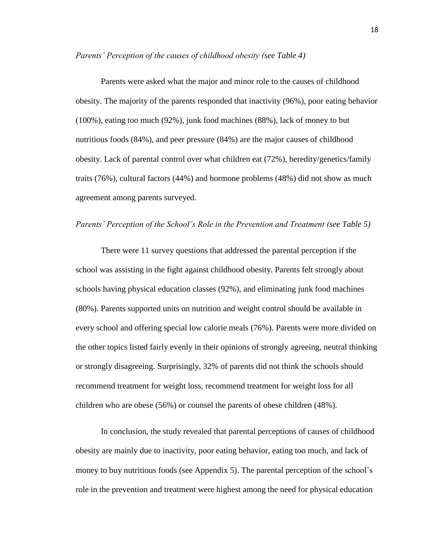*Parents' Perception of the causes of childhood obesity (see Table 4)*

Parents were asked what the major and minor role to the causes of childhood obesity. The majority of the parents responded that inactivity (96%), poor eating behavior (100%), eating too much (92%), junk food machines (88%), lack of money to but nutritious foods (84%), and peer pressure (84%) are the major causes of childhood obesity. Lack of parental control over what children eat (72%), heredity/genetics/family traits (76%), cultural factors (44%) and hormone problems (48%) did not show as much agreement among parents surveyed.

#### *Parents' Perception of the School's Role in the Prevention and Treatment (see Table 5)*

There were 11 survey questions that addressed the parental perception if the school was assisting in the fight against childhood obesity. Parents felt strongly about schools having physical education classes (92%), and eliminating junk food machines (80%). Parents supported units on nutrition and weight control should be available in every school and offering special low calorie meals (76%). Parents were more divided on the other topics listed fairly evenly in their opinions of strongly agreeing, neutral thinking or strongly disagreeing. Surprisingly, 32% of parents did not think the schools should recommend treatment for weight loss, recommend treatment for weight loss for all children who are obese (56%) or counsel the parents of obese children (48%).

In conclusion, the study revealed that parental perceptions of causes of childhood obesity are mainly due to inactivity, poor eating behavior, eating too much, and lack of money to buy nutritious foods (see Appendix 5). The parental perception of the school's role in the prevention and treatment were highest among the need for physical education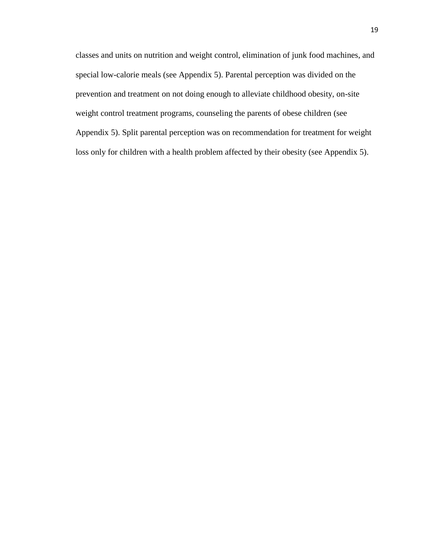classes and units on nutrition and weight control, elimination of junk food machines, and special low-calorie meals (see Appendix 5). Parental perception was divided on the prevention and treatment on not doing enough to alleviate childhood obesity, on-site weight control treatment programs, counseling the parents of obese children (see Appendix 5). Split parental perception was on recommendation for treatment for weight loss only for children with a health problem affected by their obesity (see Appendix 5).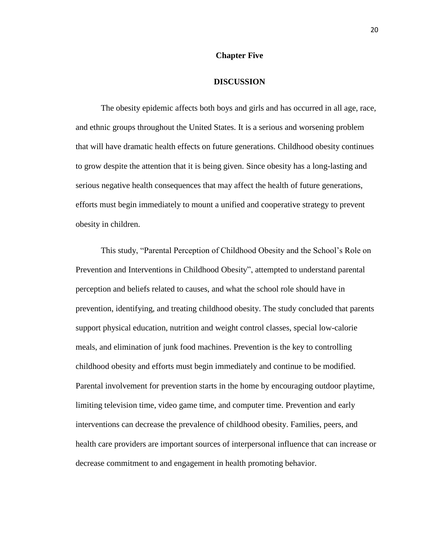#### **Chapter Five**

#### **DISCUSSION**

The obesity epidemic affects both boys and girls and has occurred in all age, race, and ethnic groups throughout the United States. It is a serious and worsening problem that will have dramatic health effects on future generations. Childhood obesity continues to grow despite the attention that it is being given. Since obesity has a long-lasting and serious negative health consequences that may affect the health of future generations, efforts must begin immediately to mount a unified and cooperative strategy to prevent obesity in children.

This study, "Parental Perception of Childhood Obesity and the School's Role on Prevention and Interventions in Childhood Obesity", attempted to understand parental perception and beliefs related to causes, and what the school role should have in prevention, identifying, and treating childhood obesity. The study concluded that parents support physical education, nutrition and weight control classes, special low-calorie meals, and elimination of junk food machines. Prevention is the key to controlling childhood obesity and efforts must begin immediately and continue to be modified. Parental involvement for prevention starts in the home by encouraging outdoor playtime, limiting television time, video game time, and computer time. Prevention and early interventions can decrease the prevalence of childhood obesity. Families, peers, and health care providers are important sources of interpersonal influence that can increase or decrease commitment to and engagement in health promoting behavior.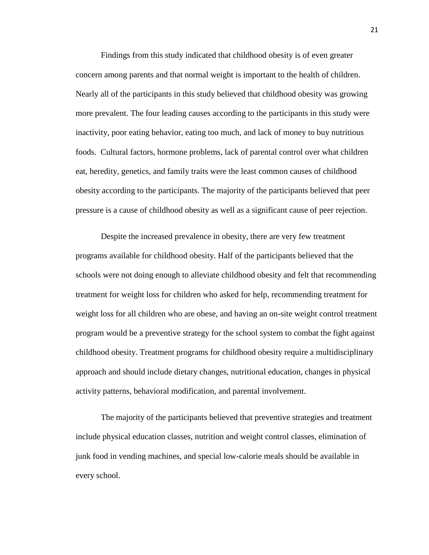Findings from this study indicated that childhood obesity is of even greater concern among parents and that normal weight is important to the health of children. Nearly all of the participants in this study believed that childhood obesity was growing more prevalent. The four leading causes according to the participants in this study were inactivity, poor eating behavior, eating too much, and lack of money to buy nutritious foods. Cultural factors, hormone problems, lack of parental control over what children eat, heredity, genetics, and family traits were the least common causes of childhood obesity according to the participants. The majority of the participants believed that peer pressure is a cause of childhood obesity as well as a significant cause of peer rejection.

Despite the increased prevalence in obesity, there are very few treatment programs available for childhood obesity. Half of the participants believed that the schools were not doing enough to alleviate childhood obesity and felt that recommending treatment for weight loss for children who asked for help, recommending treatment for weight loss for all children who are obese, and having an on-site weight control treatment program would be a preventive strategy for the school system to combat the fight against childhood obesity. Treatment programs for childhood obesity require a multidisciplinary approach and should include dietary changes, nutritional education, changes in physical activity patterns, behavioral modification, and parental involvement.

The majority of the participants believed that preventive strategies and treatment include physical education classes, nutrition and weight control classes, elimination of junk food in vending machines, and special low-calorie meals should be available in every school.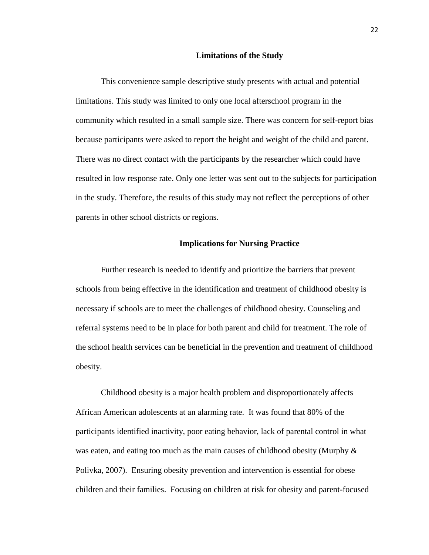#### **Limitations of the Study**

This convenience sample descriptive study presents with actual and potential limitations. This study was limited to only one local afterschool program in the community which resulted in a small sample size. There was concern for self-report bias because participants were asked to report the height and weight of the child and parent. There was no direct contact with the participants by the researcher which could have resulted in low response rate. Only one letter was sent out to the subjects for participation in the study. Therefore, the results of this study may not reflect the perceptions of other parents in other school districts or regions.

#### **Implications for Nursing Practice**

Further research is needed to identify and prioritize the barriers that prevent schools from being effective in the identification and treatment of childhood obesity is necessary if schools are to meet the challenges of childhood obesity. Counseling and referral systems need to be in place for both parent and child for treatment. The role of the school health services can be beneficial in the prevention and treatment of childhood obesity.

Childhood obesity is a major health problem and disproportionately affects African American adolescents at an alarming rate. It was found that 80% of the participants identified inactivity, poor eating behavior, lack of parental control in what was eaten, and eating too much as the main causes of childhood obesity (Murphy  $\&$ Polivka, 2007). Ensuring obesity prevention and intervention is essential for obese children and their families. Focusing on children at risk for obesity and parent-focused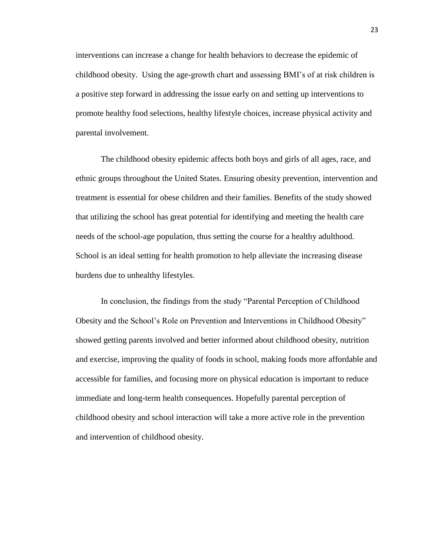interventions can increase a change for health behaviors to decrease the epidemic of childhood obesity. Using the age-growth chart and assessing BMI's of at risk children is a positive step forward in addressing the issue early on and setting up interventions to promote healthy food selections, healthy lifestyle choices, increase physical activity and parental involvement.

The childhood obesity epidemic affects both boys and girls of all ages, race, and ethnic groups throughout the United States. Ensuring obesity prevention, intervention and treatment is essential for obese children and their families. Benefits of the study showed that utilizing the school has great potential for identifying and meeting the health care needs of the school-age population, thus setting the course for a healthy adulthood. School is an ideal setting for health promotion to help alleviate the increasing disease burdens due to unhealthy lifestyles.

In conclusion, the findings from the study "Parental Perception of Childhood Obesity and the School's Role on Prevention and Interventions in Childhood Obesity" showed getting parents involved and better informed about childhood obesity, nutrition and exercise, improving the quality of foods in school, making foods more affordable and accessible for families, and focusing more on physical education is important to reduce immediate and long-term health consequences. Hopefully parental perception of childhood obesity and school interaction will take a more active role in the prevention and intervention of childhood obesity.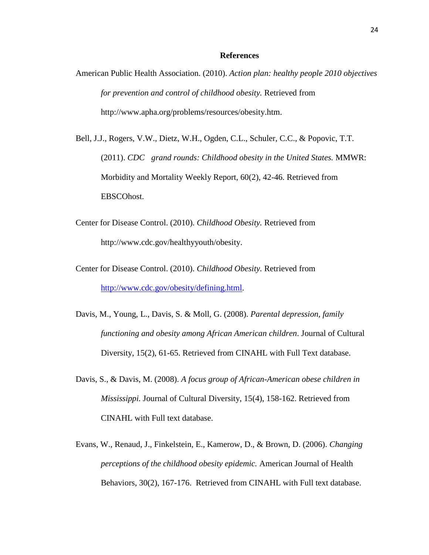#### **References**

- American Public Health Association. (2010). *Action plan: healthy people 2010 objectives for prevention and control of childhood obesity.* Retrieved from http://www.apha.org/problems/resources/obesity.htm.
- Bell, J.J., Rogers, V.W., Dietz, W.H., Ogden, C.L., Schuler, C.C., & Popovic, T.T. (2011). *CDC grand rounds: Childhood obesity in the United States.* MMWR: Morbidity and Mortality Weekly Report, 60(2), 42-46. Retrieved from EBSCOhost.
- Center for Disease Control. (2010). *Childhood Obesity.* Retrieved from http://www.cdc.gov/healthyyouth/obesity.
- Center for Disease Control. (2010). *Childhood Obesity.* Retrieved from [http://www.cdc.gov/obesity/defining.html.](http://www.cdc.gov/obesity/defining.html)
- Davis, M., Young, L., Davis, S. & Moll, G. (2008). *Parental depression, family functioning and obesity among African American children*. Journal of Cultural Diversity, 15(2), 61-65. Retrieved from CINAHL with Full Text database.
- Davis, S., & Davis, M. (2008). *A focus group of African-American obese children in Mississippi.* Journal of Cultural Diversity, 15(4), 158-162. Retrieved from CINAHL with Full text database.
- Evans, W., Renaud, J., Finkelstein, E., Kamerow, D., & Brown, D. (2006). *Changing perceptions of the childhood obesity epidemic.* American Journal of Health Behaviors, 30(2), 167-176. Retrieved from CINAHL with Full text database.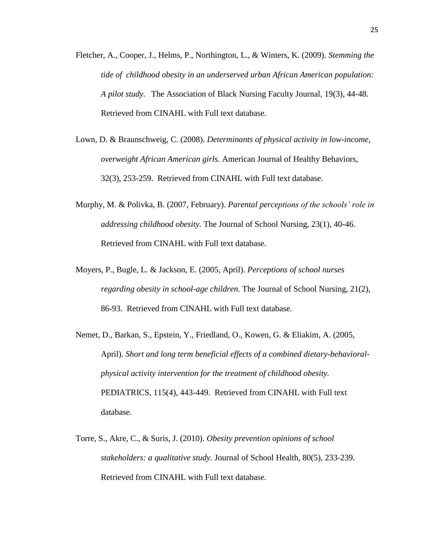- Fletcher, A., Cooper, J., Helms, P., Northington, L., & Winters, K. (2009). *Stemming the tide of childhood obesity in an underserved urban African American population: A pilot study.* The Association of Black Nursing Faculty Journal, 19(3), 44-48. Retrieved from CINAHL with Full text database.
- Lown, D. & Braunschweig, C. (2008). *Determinants of physical activity in low-income, overweight African American girls.* American Journal of Healthy Behaviors, 32(3), 253-259. Retrieved from CINAHL with Full text database.
- Murphy, M. & Polivka, B. (2007, February). *Parental perceptions of the schools' role in addressing childhood obesity.* The Journal of School Nursing, 23(1), 40-46. Retrieved from CINAHL with Full text database.
- Moyers, P., Bugle, L. & Jackson, E. (2005, April). *Perceptions of school nurses regarding obesity in school-age children.* The Journal of School Nursing, 21(2), 86-93. Retrieved from CINAHL with Full text database.
- Nemet, D., Barkan, S., Epstein, Y., Friedland, O., Kowen, G. & Eliakim, A. (2005, April). *Short and long term beneficial effects of a combined dietary-behavioralphysical activity intervention for the treatment of childhood obesity.*  PEDIATRICS, 115(4), 443-449. Retrieved from CINAHL with Full text database.
- Torre, S., Akre, C., & Suris, J. (2010). *Obesity prevention opinions of school stakeholders: a qualitative study.* Journal of School Health, 80(5), 233-239. Retrieved from CINAHL with Full text database.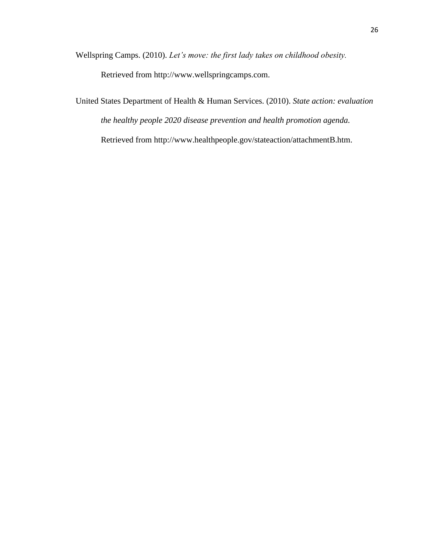Wellspring Camps. (2010). *Let's move: the first lady takes on childhood obesity.*  Retrieved from http://www.wellspringcamps.com.

United States Department of Health & Human Services. (2010). *State action: evaluation the healthy people 2020 disease prevention and health promotion agenda.*  Retrieved from http://www.healthpeople.gov/stateaction/attachmentB.htm.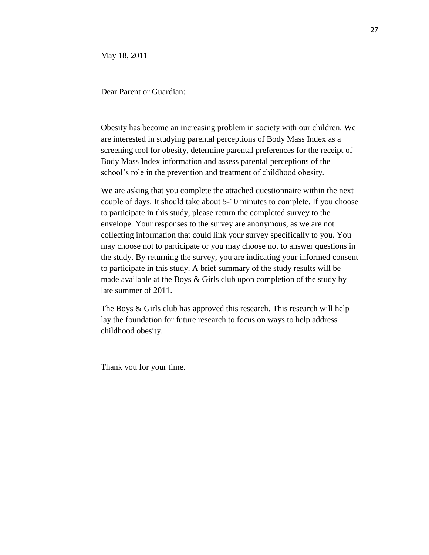May 18, 2011

Dear Parent or Guardian:

Obesity has become an increasing problem in society with our children. We are interested in studying parental perceptions of Body Mass Index as a screening tool for obesity, determine parental preferences for the receipt of Body Mass Index information and assess parental perceptions of the school's role in the prevention and treatment of childhood obesity.

We are asking that you complete the attached questionnaire within the next couple of days. It should take about 5-10 minutes to complete. If you choose to participate in this study, please return the completed survey to the envelope. Your responses to the survey are anonymous, as we are not collecting information that could link your survey specifically to you. You may choose not to participate or you may choose not to answer questions in the study. By returning the survey, you are indicating your informed consent to participate in this study. A brief summary of the study results will be made available at the Boys & Girls club upon completion of the study by late summer of 2011.

The Boys & Girls club has approved this research. This research will help lay the foundation for future research to focus on ways to help address childhood obesity.

Thank you for your time.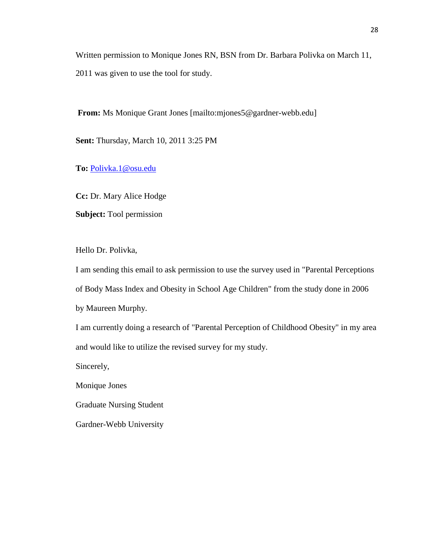Written permission to Monique Jones RN, BSN from Dr. Barbara Polivka on March 11, 2011 was given to use the tool for study.

**From:** Ms Monique Grant Jones [mailto:mjones5@gardner-webb.edu]

**Sent:** Thursday, March 10, 2011 3:25 PM

**To:** [Polivka.1@osu.edu](mailto:Polivka.1@osu.edu)

**Cc:** Dr. Mary Alice Hodge

**Subject:** Tool permission

Hello Dr. Polivka,

I am sending this email to ask permission to use the survey used in "Parental Perceptions of Body Mass Index and Obesity in School Age Children" from the study done in 2006 by Maureen Murphy.

I am currently doing a research of "Parental Perception of Childhood Obesity" in my area and would like to utilize the revised survey for my study.

Sincerely,

Monique Jones

Graduate Nursing Student

Gardner-Webb University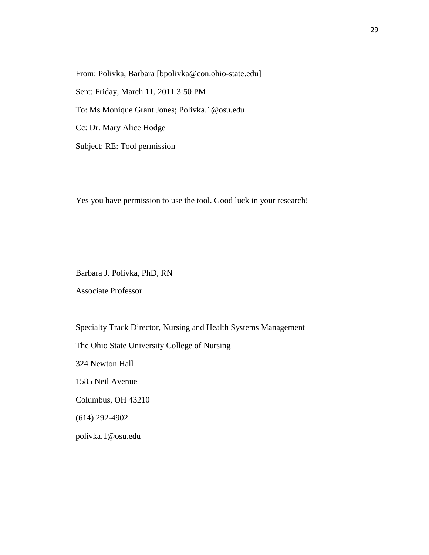From: Polivka, Barbara [bpolivka@con.ohio-state.edu] Sent: Friday, March 11, 2011 3:50 PM To: Ms Monique Grant Jones; Polivka.1@osu.edu Cc: Dr. Mary Alice Hodge Subject: RE: Tool permission

Yes you have permission to use the tool. Good luck in your research!

Barbara J. Polivka, PhD, RN

Associate Professor

Specialty Track Director, Nursing and Health Systems Management The Ohio State University College of Nursing 324 Newton Hall 1585 Neil Avenue Columbus, OH 43210 (614) 292-4902 polivka.1@osu.edu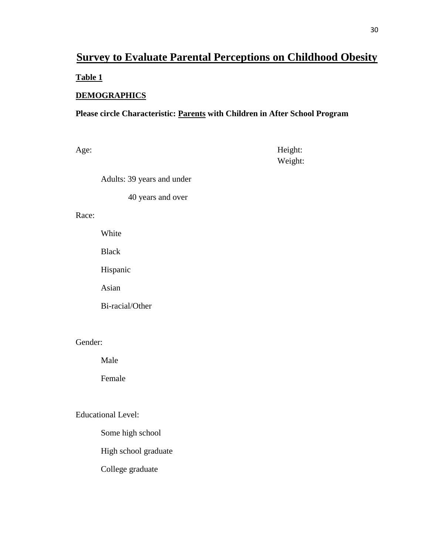# **Survey to Evaluate Parental Perceptions on Childhood Obesity Table 1**

# **DEMOGRAPHICS**

## **Please circle Characteristic: Parents with Children in After School Program**

Age: Height: Weight:

Adults: 39 years and under

40 years and over

## Race:

White

Black

Hispanic

Asian

Bi-racial/Other

Gender:

Male

Female

Educational Level:

Some high school

High school graduate

College graduate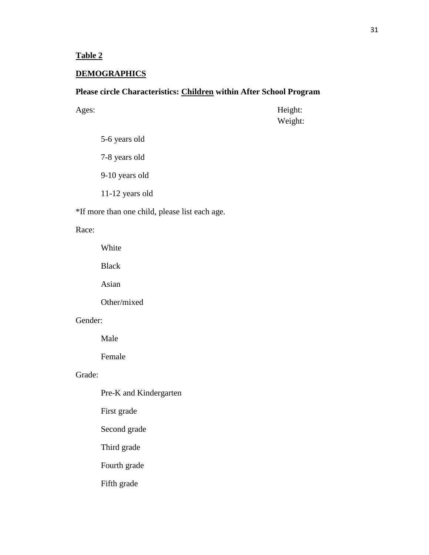**Table 2**

## **DEMOGRAPHICS**

## **Please circle Characteristics: Children within After School Program**

Ages: Height: Weight:

- 5-6 years old
- 7-8 years old
- 9-10 years old
- 11-12 years old

\*If more than one child, please list each age.

### Race:

White

Black

Asian

Other/mixed

## Gender:

Male

Female

## Grade:

- Pre-K and Kindergarten
- First grade
- Second grade
- Third grade
- Fourth grade
- Fifth grade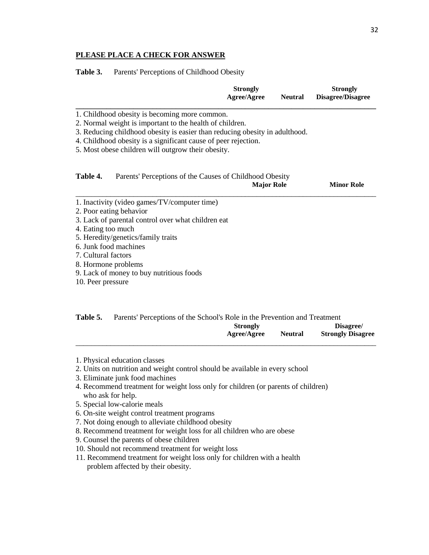#### **PLEASE PLACE A CHECK FOR ANSWER**

Table 3. Parents' Perceptions of Childhood Obesity

|                                                                                                                                                                                                                                                                                                                                   | <b>Strongly</b><br>Agree/Agree | <b>Neutral</b> | <b>Strongly</b><br><b>Disagree/Disagree</b> |
|-----------------------------------------------------------------------------------------------------------------------------------------------------------------------------------------------------------------------------------------------------------------------------------------------------------------------------------|--------------------------------|----------------|---------------------------------------------|
| 1. Childhood obesity is becoming more common.<br>2. Normal weight is important to the health of children.<br>3. Reducing childhood obesity is easier than reducing obesity in adulthood.<br>4. Childhood obesity is a significant cause of peer rejection.<br>5. Most obese children will outgrow their obesity.                  |                                |                |                                             |
| Table 4.<br>Parents' Perceptions of the Causes of Childhood Obesity                                                                                                                                                                                                                                                               | <b>Major Role</b>              |                | <b>Minor Role</b>                           |
| 1. Inactivity (video games/TV/computer time)<br>2. Poor eating behavior<br>3. Lack of parental control over what children eat<br>4. Eating too much<br>5. Heredity/genetics/family traits<br>6. Junk food machines<br>7. Cultural factors<br>8. Hormone problems<br>9. Lack of money to buy nutritious foods<br>10. Peer pressure |                                |                |                                             |

| Table 5. | Parents' Perceptions of the School's Role in the Prevention and Treatment |                |                          |
|----------|---------------------------------------------------------------------------|----------------|--------------------------|
|          | <b>Strongly</b>                                                           |                | Disagree/                |
|          | <b>Agree/Agree</b>                                                        | <b>Neutral</b> | <b>Strongly Disagree</b> |

\_\_\_\_\_\_\_\_\_\_\_\_\_\_\_\_\_\_\_\_\_\_\_\_\_\_\_\_\_\_\_\_\_\_\_\_\_\_\_\_\_\_\_\_\_\_\_\_\_\_\_\_\_\_\_\_\_\_\_\_\_\_\_\_\_\_\_\_\_\_\_\_\_\_\_\_\_\_

2. Units on nutrition and weight control should be available in every school

- 3. Eliminate junk food machines
- 4. Recommend treatment for weight loss only for children (or parents of children) who ask for help.
- 5. Special low-calorie meals
- 6. On-site weight control treatment programs
- 7. Not doing enough to alleviate childhood obesity
- 8. Recommend treatment for weight loss for all children who are obese
- 9. Counsel the parents of obese children
- 10. Should not recommend treatment for weight loss
- 11. Recommend treatment for weight loss only for children with a health problem affected by their obesity.

<sup>1.</sup> Physical education classes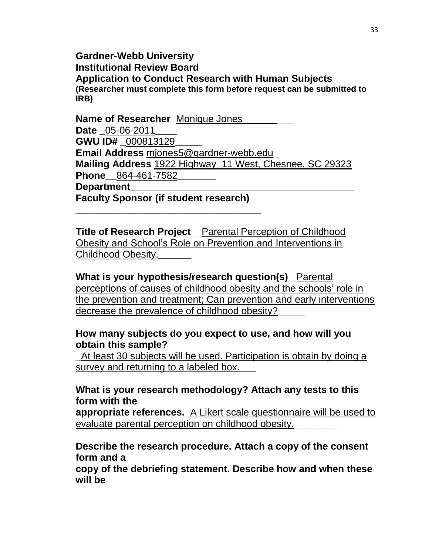## **Gardner-Webb University Institutional Review Board Application to Conduct Research with Human Subjects (Researcher must complete this form before request can be submitted to IRB)**

**Name of Researcher** Monique Jones **Date \_**05-06-2011**\_\_\_\_ GWU ID# \_**000813129**\_\_\_\_\_ Email Address** mjones5@gardner-webb.edu**\_ Mailing Address** 1922 Highway 11 West, Chesnee, SC 29323 **Phone\_\_**864-461-7582**\_\_\_\_\_\_\_ Department\_\_\_\_\_\_\_\_\_\_\_\_\_\_\_\_\_\_\_\_\_\_\_\_\_\_\_\_\_\_\_\_\_\_\_\_\_\_\_\_\_**

**Faculty Sponsor (if student research)** 

**\_\_\_\_\_\_\_\_\_\_\_\_\_\_\_\_\_\_\_\_\_\_\_\_\_\_\_\_\_\_\_\_\_\_**

**Title of Research Project\_\_**Parental Perception of Childhood Obesity and School's Role on Prevention and Interventions in Childhood Obesity.**\_\_\_\_\_\_**

**What is your hypothesis/research question(s) \_**Parental perceptions of causes of childhood obesity and the schools' role in the prevention and treatment; Can prevention and early interventions decrease the prevalence of childhood obesity?**\_\_\_\_\_**

# **How many subjects do you expect to use, and how will you obtain this sample?**

**\_**At least 30 subjects will be used. Participation is obtain by doing a survey and returning to a labeled box.**\_\_\_**

# **What is your research methodology? Attach any tests to this form with the**

**appropriate references.** A Likert scale questionnaire will be used to evaluate parental perception on childhood obesity.**\_\_\_\_\_\_\_\_**

# **Describe the research procedure. Attach a copy of the consent form and a**

**copy of the debriefing statement. Describe how and when these will be**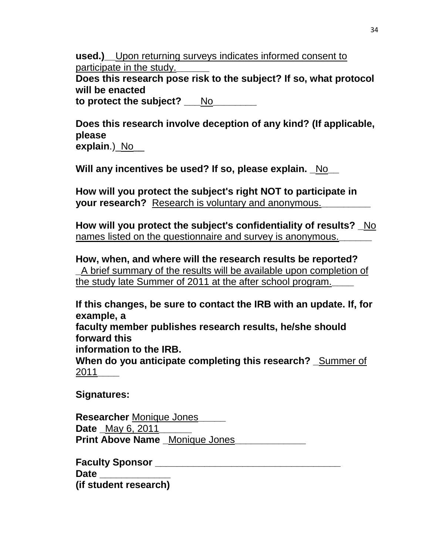**used.)** Upon returning surveys indicates informed consent to participate in the study.**\_\_\_\_\_\_**

**Does this research pose risk to the subject? If so, what protocol will be enacted**

**to protect the subject?** No

**Does this research involve deception of any kind? (If applicable, please explain**.) No

**Will any incentives be used? If so, please explain. \_**No**\_\_**

**How will you protect the subject's right NOT to participate in your research?** Research is voluntary and anonymous.**\_\_\_\_\_\_\_\_\_**

**How will you protect the subject's confidentiality of results? \_**No names listed on the questionnaire and survey is anonymous.**\_\_\_\_\_\_**

**How, when, and where will the research results be reported? \_**A brief summary of the results will be available upon completion of the study late Summer of 2011 at the after school program.**\_\_\_\_**

**If this changes, be sure to contact the IRB with an update. If, for example, a**

**faculty member publishes research results, he/she should forward this**

**information to the IRB.**

**When do you anticipate completing this research? \_**Summer of 2011**\_\_\_\_**

**Signatures:**

**Researcher** Monique Jones**\_\_\_\_\_ Date** \_May 6, 2011 **Print Above Name** Monique Jones

**Faculty Sponsor \_\_\_\_\_\_\_\_\_\_\_\_\_\_\_\_\_\_\_\_\_\_\_\_\_\_\_\_\_\_\_\_\_\_ Date \_\_\_\_\_\_\_\_\_\_\_\_\_ (if student research)**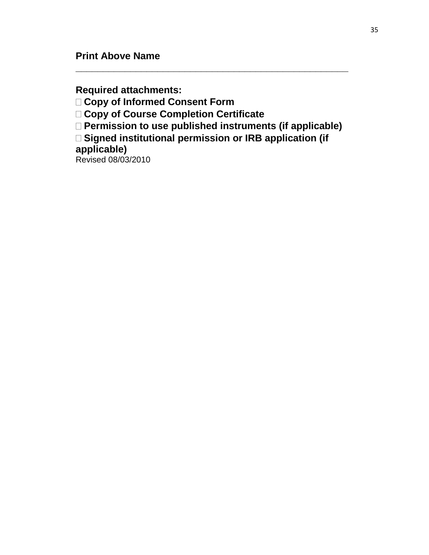**Required attachments:**

**Copy of Informed Consent Form**

**Copy of Course Completion Certificate**

**Permission to use published instruments (if applicable)**

**\_\_\_\_\_\_\_\_\_\_\_\_\_\_\_\_\_\_\_\_\_\_\_\_\_\_\_\_\_\_\_\_\_\_\_\_\_\_\_\_\_\_\_\_\_\_\_\_\_\_**

□ Signed institutional permission or IRB application (if **applicable)**

Revised 08/03/2010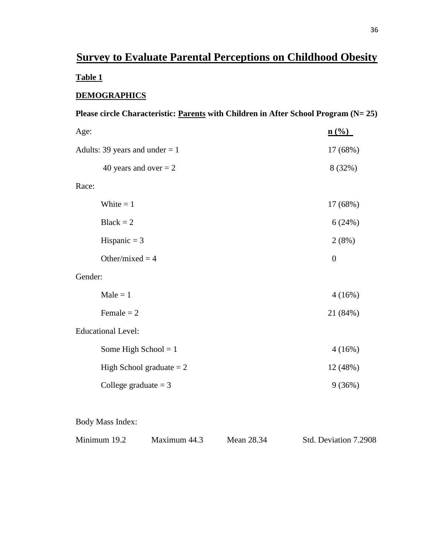# **Survey to Evaluate Parental Perceptions on Childhood Obesity Table 1**

## **DEMOGRAPHICS**

| Please circle Characteristic: Parents with Children in After School Program (N= 25) |                  |  |  |
|-------------------------------------------------------------------------------------|------------------|--|--|
| Age:                                                                                | n (% )           |  |  |
| Adults: 39 years and under $= 1$                                                    | 17 (68%)         |  |  |
| 40 years and over $= 2$                                                             | 8 (32%)          |  |  |
| Race:                                                                               |                  |  |  |
| White $= 1$                                                                         | 17 (68%)         |  |  |
| $Black = 2$                                                                         | 6(24%)           |  |  |
| Hispanic $=$ 3                                                                      | 2(8%)            |  |  |
| Other/mixed = $4$                                                                   | $\boldsymbol{0}$ |  |  |
| Gender:                                                                             |                  |  |  |
| $Male = 1$                                                                          | 4(16%)           |  |  |
| Female $= 2$                                                                        | 21 (84%)         |  |  |
| <b>Educational Level:</b>                                                           |                  |  |  |
| Some High School = $1$                                                              | 4(16%)           |  |  |
| High School graduate $= 2$                                                          | 12 (48%)         |  |  |
| College graduate $=$ 3                                                              | 9(36%)           |  |  |
|                                                                                     |                  |  |  |
| <b>Body Mass Index:</b>                                                             |                  |  |  |

Minimum 19.2 Maximum 44.3 Mean 28.34 Std. Deviation 7.2908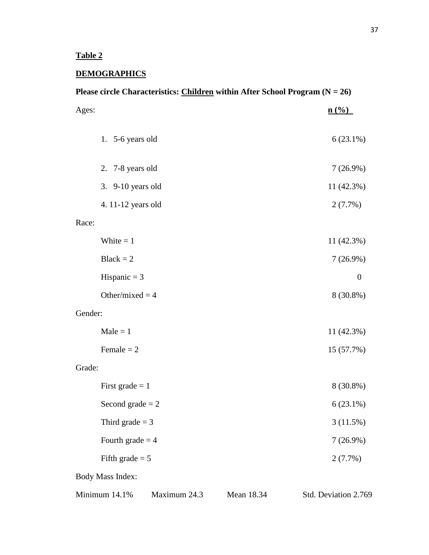## **DEMOGRAPHICS**

| Please circle Characteristics: Children within After School Program $(N = 26)$ |              |            |                      |
|--------------------------------------------------------------------------------|--------------|------------|----------------------|
| Ages:                                                                          |              |            | n(%                  |
| 1. $5-6$ years old                                                             |              |            | $6(23.1\%)$          |
| 2. 7-8 years old                                                               |              |            | $7(26.9\%)$          |
| 3. 9-10 years old                                                              |              |            | 11 (42.3%)           |
| 4. 11-12 years old                                                             |              |            | 2(7.7%)              |
| Race:                                                                          |              |            |                      |
| White $= 1$                                                                    |              |            | 11 (42.3%)           |
| $Black = 2$                                                                    |              |            | $7(26.9\%)$          |
| Hispanic $=$ 3                                                                 |              |            | $\boldsymbol{0}$     |
| Other/mixed = $4$                                                              |              |            | 8 (30.8%)            |
| Gender:                                                                        |              |            |                      |
| $Male = 1$                                                                     |              |            | 11 (42.3%)           |
| Female $= 2$                                                                   |              |            | 15 (57.7%)           |
| Grade:                                                                         |              |            |                      |
| First grade $= 1$                                                              |              |            | 8 (30.8%)            |
| Second grade $= 2$                                                             |              |            | $6(23.1\%)$          |
| Third grade $=$ 3                                                              |              |            | 3(11.5%)             |
| Fourth grade $=$ 4                                                             |              |            | $7(26.9\%)$          |
| Fifth grade $= 5$                                                              |              |            | 2(7.7%)              |
| <b>Body Mass Index:</b>                                                        |              |            |                      |
| Minimum 14.1%                                                                  | Maximum 24.3 | Mean 18.34 | Std. Deviation 2.769 |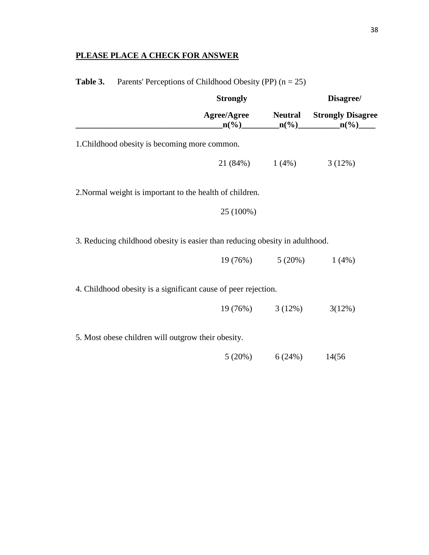## **PLEASE PLACE A CHECK FOR ANSWER**

|                                                                             | <b>Strongly</b>     |                      | Disagree/                                                                   |
|-----------------------------------------------------------------------------|---------------------|----------------------|-----------------------------------------------------------------------------|
|                                                                             | Agree/Agree Neutral |                      | <b>Strongly Disagree</b><br>$n\binom{0}{0}$ $n\binom{0}{0}$ $n\binom{0}{1}$ |
| 1. Childhood obesity is becoming more common.                               |                     |                      |                                                                             |
|                                                                             |                     |                      | $21 (84%)$ $1 (4%)$ $3 (12%)$                                               |
| 2. Normal weight is important to the health of children.                    |                     |                      |                                                                             |
|                                                                             | 25 (100%)           |                      |                                                                             |
| 3. Reducing childhood obesity is easier than reducing obesity in adulthood. |                     |                      |                                                                             |
|                                                                             |                     | $19(76\%)$ $5(20\%)$ | $1(4\%)$                                                                    |
| 4. Childhood obesity is a significant cause of peer rejection.              |                     |                      |                                                                             |
|                                                                             |                     | $19(76\%)$ $3(12\%)$ | 3(12%)                                                                      |
| 5. Most obese children will outgrow their obesity.                          |                     |                      |                                                                             |
|                                                                             |                     | $5(20\%)$ 6 (24%)    | 14(56)                                                                      |
|                                                                             |                     |                      |                                                                             |

**Table 3.** Parents' Perceptions of Childhood Obesity (PP)  $(n - 25)$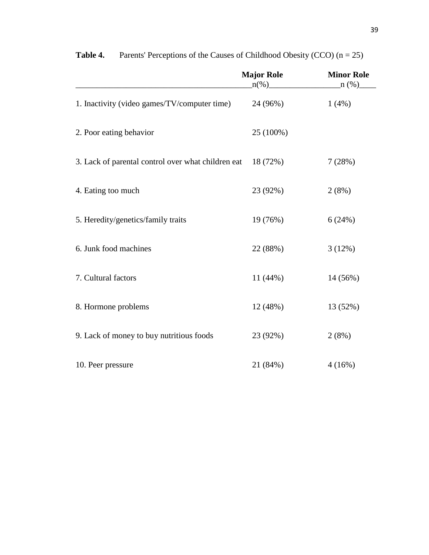|                                                    | <b>Major Role</b><br>$\ln(\%)$ | <b>Minor Role</b><br>$n (\%)$ |
|----------------------------------------------------|--------------------------------|-------------------------------|
| 1. Inactivity (video games/TV/computer time)       | 24 (96%)                       | 1(4%)                         |
| 2. Poor eating behavior                            | 25 (100%)                      |                               |
| 3. Lack of parental control over what children eat | 18 (72%)                       | 7(28%)                        |
| 4. Eating too much                                 | 23 (92%)                       | 2(8%)                         |
| 5. Heredity/genetics/family traits                 | 19 (76%)                       | 6(24%)                        |
| 6. Junk food machines                              | 22 (88%)                       | 3(12%)                        |
| 7. Cultural factors                                | 11 (44%)                       | 14 (56%)                      |
| 8. Hormone problems                                | 12 (48%)                       | 13 (52%)                      |
| 9. Lack of money to buy nutritious foods           | 23 (92%)                       | 2(8%)                         |
| 10. Peer pressure                                  | 21 (84%)                       | 4(16%)                        |

**Table 4.** Parents' Perceptions of the Causes of Childhood Obesity (CCO)  $(n = 25)$